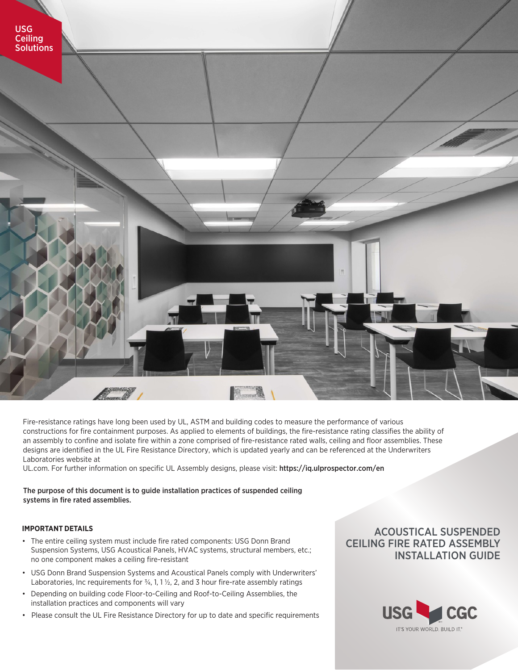

Fire-resistance ratings have long been used by UL, ASTM and building codes to measure the performance of various constructions for fire containment purposes. As applied to elements of buildings, the fire-resistance rating classifies the ability of an assembly to confine and isolate fire within a zone comprised of fire-resistance rated walls, ceiling and floor assemblies. These designs are identified in the UL Fire Resistance Directory, which is updated yearly and can be referenced at the Underwriters Laboratories website at

UL.com. For further information on specific UL Assembly designs, please visit: https://iq.ulprospector.com/en

## The purpose of this document is to guide installation practices of suspended ceiling systems in fire rated assemblies.

## **IMPORTANT DETAILS**

- The entire ceiling system must include fire rated components: USG Donn Brand Suspension Systems, USG Acoustical Panels, HVAC systems, structural members, etc.; no one component makes a ceiling fire-resistant
- USG Donn Brand Suspension Systems and Acoustical Panels comply with Underwriters' Laboratories, Inc requirements for  $\frac{3}{4}$ , 1, 1  $\frac{1}{2}$ , 2, and 3 hour fire-rate assembly ratings
- Depending on building code Floor-to-Ceiling and Roof-to-Ceiling Assemblies, the installation practices and components will vary
- Please consult the UL Fire Resistance Directory for up to date and specific requirements

## ACOUSTICAL SUSPENDED CEILING FIRE RATED ASSEMBLY INSTALLATION GUIDE